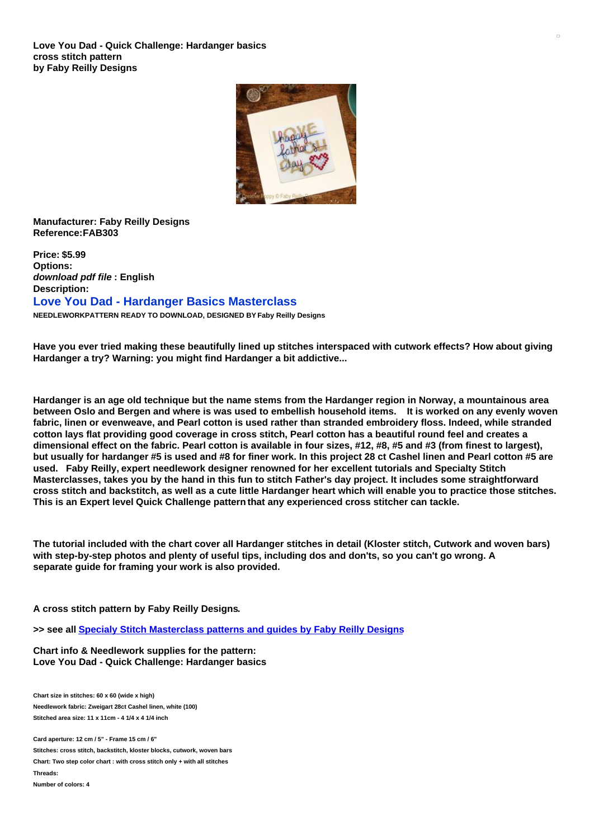

## **Manufacturer: Faby Reilly Designs Reference:FAB303**

**Price: \$5.99 Options:** *download pdf file* **: English Description: Love You Dad - Hardanger Basics Masterclass NEEDLEWORKPATTERN READY TO DOWNLOAD, DESIGNED BY Faby Reilly Designs**

Have you ever tried making these beautifully lined up stitches interspaced with cutwork effects? How about giving **Hardanger a try? Warning: you might find Hardanger a bit addictive...**

Hardanger is an age old technique but the name stems from the Hardanger region in Norway, a mountainous area between Oslo and Bergen and where is was used to embellish household items. It is worked on any evenly woven fabric, linen or evenweave, and Pearl cotton is used rather than stranded embroidery floss, Indeed, while stranded cotton lays flat providing good coverage in cross stitch, Pearl cotton has a beautiful round feel and creates a dimensional effect on the fabric. Pearl cotton is available in four sizes, #12, #8, #5 and #3 (from finest to largest), but usually for hardanger #5 is used and #8 for finer work. In this project 28 ct Cashel linen and Pearl cotton #5 are **used. Faby Reilly, expert needlework designer renowned for her excellent tutorials and Specialty Stitch** Masterclasses, takes you by the hand in this fun to stitch Father's day project. It includes some straightforward cross stitch and backstitch, as well as a cute little Hardanger heart which will enable you to practice those stitches. **This is an Expert level Quick Challenge pattern that any experienced cross stitcher can tackle.**

The tutorial included with the chart cover all Hardanger stitches in detail (Kloster stitch, Cutwork and woven bars) with step-by-step photos and plenty of useful tips, including dos and don'ts, so you can't go wrong. A **separate guide for framing your work is also provided.**

**A cross stitch pattern by Faby Reilly Designs.**

**>> see all Specialy Stitch [Masterclass](https://www.creativepoppypatterns.com/specialty-stitch-masterclass-cross-stitch-patterns-faby-reilly-designs-xsl-296_392_719.html) patterns and guides by Faby Reilly Designs**

**Chart info & Needlework supplies for the pattern: Love You Dad - Quick Challenge: Hardanger basics**

**Chart size in stitches: 60 x 60 (wide x high) Needlework fabric: Zweigart 28ct Cashel linen, white (100) Stitched area size: 11 x 11cm - 4 1/4 x 4 1/4 inch**

**Card aperture: 12 cm / 5" - Frame 15 cm / 6"**

**Stitches: cross stitch, backstitch, kloster blocks, cutwork, woven bars Chart: Two step color chart : with cross stitch only + with all stitches Threads:**

**Number of colors: 4**